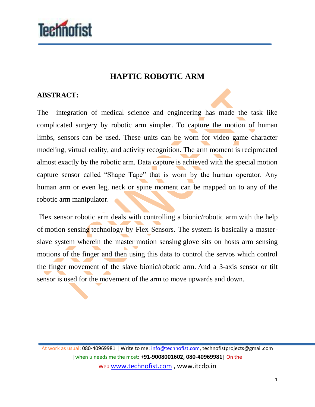

## **HAPTIC ROBOTIC ARM**

## **ABSTRACT:**

The integration of medical science and engineering has made the task like complicated surgery by robotic arm simpler. To capture the motion of human limbs, sensors can be used. These units can be worn for video game character modeling, virtual reality, and activity recognition. The arm moment is reciprocated almost exactly by the robotic arm. Data capture is achieved with the special motion capture sensor called "Shape Tape" that is worn by the human operator. Any human arm or even leg, neck or spine moment can be mapped on to any of the robotic arm manipulator.

Flex sensor robotic arm deals with controlling a bionic/robotic arm with the help of motion sensing technology by Flex Sensors. The system is basically a masterslave system wherein the master motion sensing glove sits on hosts arm sensing motions of the finger and then using this data to control the servos which control the finger movement of the slave bionic/robotic arm. And a 3-axis sensor or tilt sensor is used for the movement of the arm to move upwards and down.

At work as usual: 080-40969981 | Write to me: info@technofist.com, technofistprojects@gmail.com |when u needs me the most: **+91-9008001602, 080-40969981**| On the Web:www.technofist.com , www.itcdp.in